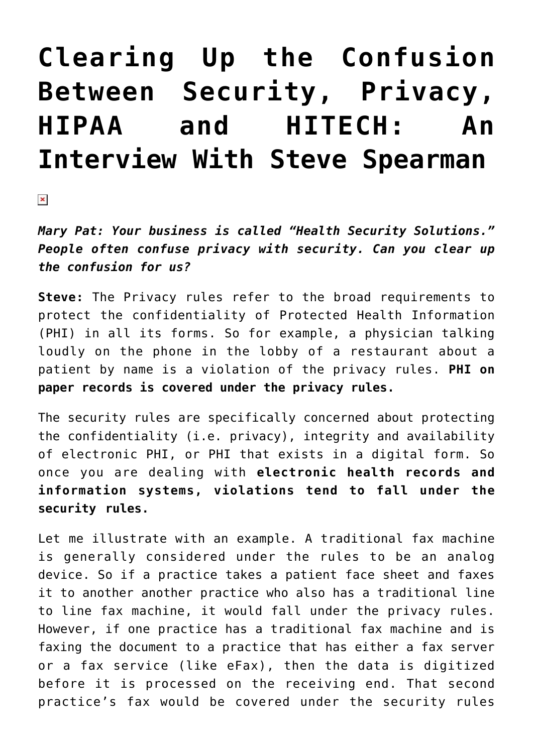# **[Clearing Up the Confusion](https://managemypractice.com/clearing-up-the-confusion-between-security-privacy-hipaa-and-hitech-an-interview-with-steve-spearman/) [Between Security, Privacy,](https://managemypractice.com/clearing-up-the-confusion-between-security-privacy-hipaa-and-hitech-an-interview-with-steve-spearman/) [HIPAA and HITECH: An](https://managemypractice.com/clearing-up-the-confusion-between-security-privacy-hipaa-and-hitech-an-interview-with-steve-spearman/) [Interview With Steve Spearman](https://managemypractice.com/clearing-up-the-confusion-between-security-privacy-hipaa-and-hitech-an-interview-with-steve-spearman/)**

 $\pmb{\times}$ 

*Mary Pat: Your business is called "Health Security Solutions." People often confuse privacy with security. Can you clear up the confusion for us?*

**Steve:** The Privacy rules refer to the broad requirements to protect the confidentiality of Protected Health Information (PHI) in all its forms. So for example, a physician talking loudly on the phone in the lobby of a restaurant about a patient by name is a violation of the privacy rules. **PHI on paper records is covered under the privacy rules.**

The security rules are specifically concerned about protecting the confidentiality (i.e. privacy), integrity and availability of electronic PHI, or PHI that exists in a digital form. So once you are dealing with **electronic health records and information systems, violations tend to fall under the security rules.**

Let me illustrate with an example. A traditional fax machine is generally considered under the rules to be an analog device. So if a practice takes a patient face sheet and faxes it to another another practice who also has a traditional line to line fax machine, it would fall under the privacy rules. However, if one practice has a traditional fax machine and is faxing the document to a practice that has either a fax server or a fax service (like eFax), then the data is digitized before it is processed on the receiving end. That second practice's fax would be covered under the security rules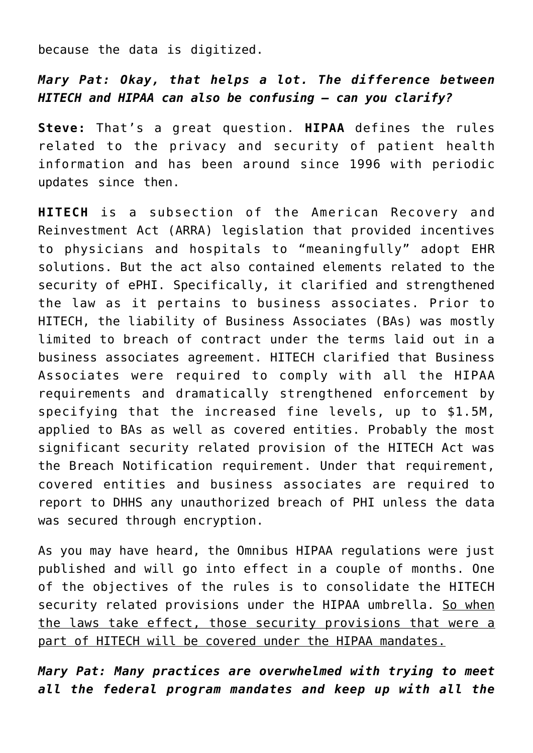because the data is digitized.

### *Mary Pat: Okay, that helps a lot. The difference between HITECH and HIPAA can also be confusing – can you clarify?*

**Steve:** That's a great question. **HIPAA** defines the rules related to the privacy and security of patient health information and has been around since 1996 with periodic updates since then.

**HITECH** is a subsection of the American Recovery and Reinvestment Act (ARRA) legislation that provided incentives to physicians and hospitals to "meaningfully" adopt EHR solutions. But the act also contained elements related to the security of ePHI. Specifically, it clarified and strengthened the law as it pertains to business associates. Prior to HITECH, the liability of Business Associates (BAs) was mostly limited to breach of contract under the terms laid out in a business associates agreement. HITECH clarified that Business Associates were required to comply with all the HIPAA requirements and dramatically strengthened enforcement by specifying that the increased fine levels, up to \$1.5M, applied to BAs as well as covered entities. Probably the most significant security related provision of the HITECH Act was the Breach Notification requirement. Under that requirement, covered entities and business associates are required to report to DHHS any unauthorized breach of PHI unless the data was secured through encryption.

As you may have heard, the Omnibus HIPAA regulations were just published and will go into effect in a couple of months. One of the objectives of the rules is to consolidate the HITECH security related provisions under the HIPAA umbrella. So when the laws take effect, those security provisions that were a part of HITECH will be covered under the HIPAA mandates.

*Mary Pat: Many practices are overwhelmed with trying to meet all the federal program mandates and keep up with all the*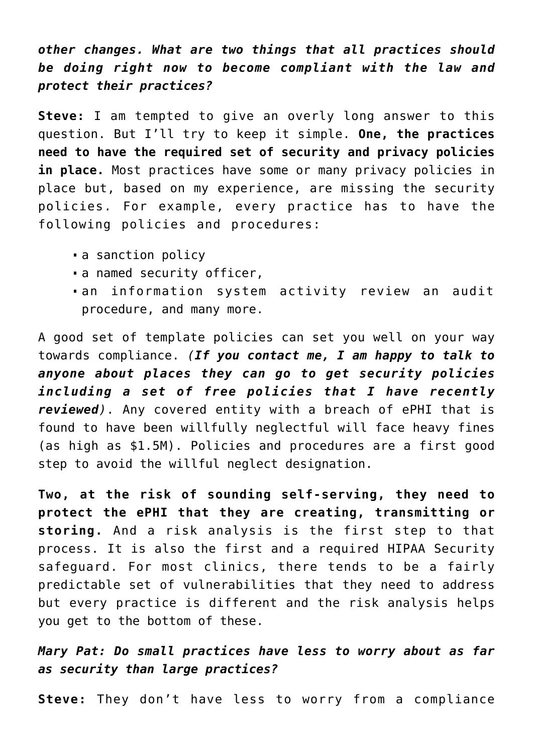*other changes. What are two things that all practices should be doing right now to become compliant with the law and protect their practices?*

**Steve:** I am tempted to give an overly long answer to this question. But I'll try to keep it simple. **One, the practices need to have the required set of security and privacy policies in place.** Most practices have some or many privacy policies in place but, based on my experience, are missing the security policies. For example, every practice has to have the following policies and procedures:

- a sanction policy
- a named security officer,
- an information system activity review an audit procedure, and many more.

A good set of template policies can set you well on your way towards compliance. *(If you contact me, I am happy to talk to anyone about places they can go to get security policies including a set of free policies that I have recently reviewed)*. Any covered entity with a breach of ePHI that is found to have been willfully neglectful will face heavy fines (as high as \$1.5M). Policies and procedures are a first good step to avoid the willful neglect designation.

**Two, at the risk of sounding self-serving, they need to protect the ePHI that they are creating, transmitting or storing.** And a risk analysis is the first step to that process. It is also the first and a required HIPAA Security safeguard. For most clinics, there tends to be a fairly predictable set of vulnerabilities that they need to address but every practice is different and the risk analysis helps you get to the bottom of these.

# *Mary Pat: Do small practices have less to worry about as far as security than large practices?*

**Steve:** They don't have less to worry from a compliance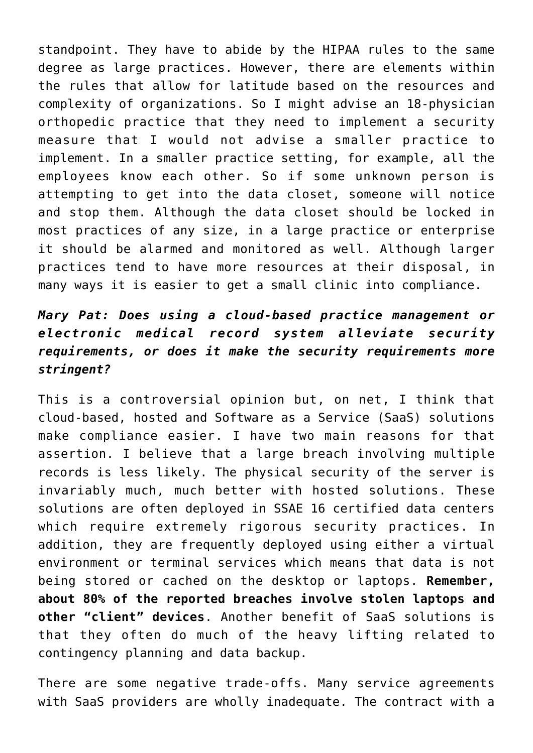standpoint. They have to abide by the HIPAA rules to the same degree as large practices. However, there are elements within the rules that allow for latitude based on the resources and complexity of organizations. So I might advise an 18-physician orthopedic practice that they need to implement a security measure that I would not advise a smaller practice to implement. In a smaller practice setting, for example, all the employees know each other. So if some unknown person is attempting to get into the data closet, someone will notice and stop them. Although the data closet should be locked in most practices of any size, in a large practice or enterprise it should be alarmed and monitored as well. Although larger practices tend to have more resources at their disposal, in many ways it is easier to get a small clinic into compliance.

# *Mary Pat: Does using a cloud-based practice management or electronic medical record system alleviate security requirements, or does it make the security requirements more stringent?*

This is a controversial opinion but, on net, I think that cloud-based, hosted and Software as a Service (SaaS) solutions make compliance easier. I have two main reasons for that assertion. I believe that a large breach involving multiple records is less likely. The physical security of the server is invariably much, much better with hosted solutions. These solutions are often deployed in SSAE 16 certified data centers which require extremely rigorous security practices. In addition, they are frequently deployed using either a virtual environment or terminal services which means that data is not being stored or cached on the desktop or laptops. **Remember, about 80% of the reported breaches involve stolen laptops and other "client" devices**. Another benefit of SaaS solutions is that they often do much of the heavy lifting related to contingency planning and data backup.

There are some negative trade-offs. Many service agreements with SaaS providers are wholly inadequate. The contract with a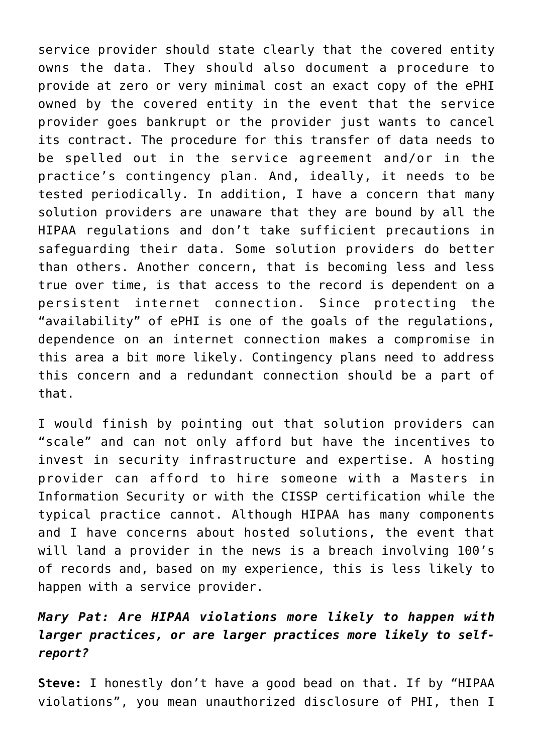service provider should state clearly that the covered entity owns the data. They should also document a procedure to provide at zero or very minimal cost an exact copy of the ePHI owned by the covered entity in the event that the service provider goes bankrupt or the provider just wants to cancel its contract. The procedure for this transfer of data needs to be spelled out in the service agreement and/or in the practice's contingency plan. And, ideally, it needs to be tested periodically. In addition, I have a concern that many solution providers are unaware that they are bound by all the HIPAA regulations and don't take sufficient precautions in safeguarding their data. Some solution providers do better than others. Another concern, that is becoming less and less true over time, is that access to the record is dependent on a persistent internet connection. Since protecting the "availability" of ePHI is one of the goals of the regulations, dependence on an internet connection makes a compromise in this area a bit more likely. Contingency plans need to address this concern and a redundant connection should be a part of that.

I would finish by pointing out that solution providers can "scale" and can not only afford but have the incentives to invest in security infrastructure and expertise. A hosting provider can afford to hire someone with a Masters in Information Security or with the CISSP certification while the typical practice cannot. Although HIPAA has many components and I have concerns about hosted solutions, the event that will land a provider in the news is a breach involving 100's of records and, based on my experience, this is less likely to happen with a service provider.

# *Mary Pat: Are HIPAA violations more likely to happen with larger practices, or are larger practices more likely to selfreport?*

**Steve:** I honestly don't have a good bead on that. If by "HIPAA violations", you mean unauthorized disclosure of PHI, then I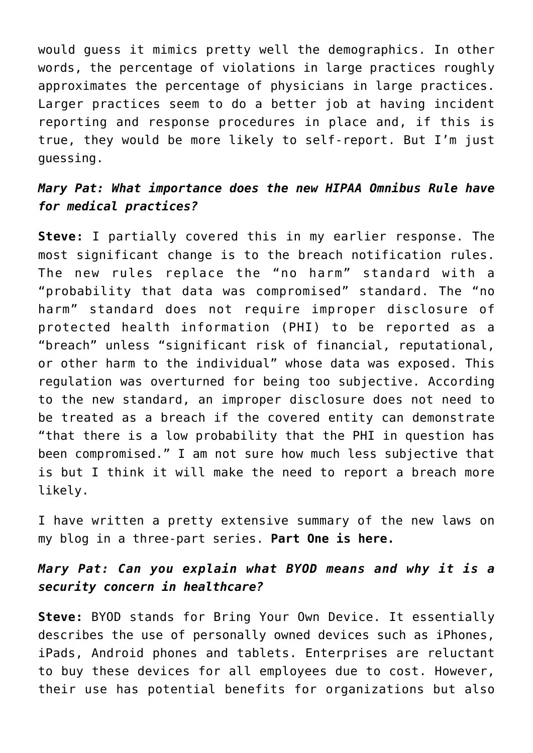would guess it mimics pretty well the demographics. In other words, the percentage of violations in large practices roughly approximates the percentage of physicians in large practices. Larger practices seem to do a better job at having incident reporting and response procedures in place and, if this is true, they would be more likely to self-report. But I'm just guessing.

# *Mary Pat: What importance does the new HIPAA Omnibus Rule have for medical practices?*

**Steve:** I partially covered this in my earlier response. The most significant change is to the breach notification rules. The new rules replace the "no harm" standard with a "probability that data was compromised" standard. The "no harm" standard does not require improper disclosure of protected health information (PHI) to be reported as a "breach" unless "significant risk of financial, reputational, or other harm to the individual" whose data was exposed. This regulation was overturned for being too subjective. According to the new standard, an improper disclosure does not need to be treated as a breach if the covered entity can demonstrate "that there is a low probability that the PHI in question has been compromised." I am not sure how much less subjective that is but I think it will make the need to report a breach more likely.

I have written a pretty extensive summary of the new laws on my blog in a three-part series. **[Part One is here.](http://www.healthsecuritysolutions.com/2013/02/hipaa-omnibus-rule-a-comprehensive-look-at-its-provisions-and-what-it-means-for-providers/)**

# *Mary Pat: Can you explain what BYOD means and why it is a security concern in healthcare?*

**Steve:** BYOD stands for Bring Your Own Device. It essentially describes the use of personally owned devices such as iPhones, iPads, Android phones and tablets. Enterprises are reluctant to buy these devices for all employees due to cost. However, their use has potential benefits for organizations but also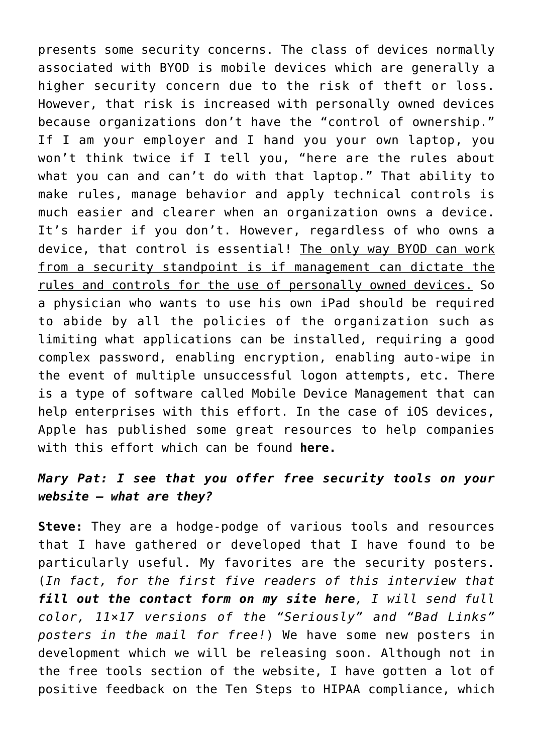presents some security concerns. The class of devices normally associated with BYOD is mobile devices which are generally a higher security concern due to the risk of theft or loss. However, that risk is increased with personally owned devices because organizations don't have the "control of ownership." If I am your employer and I hand you your own laptop, you won't think twice if I tell you, "here are the rules about what you can and can't do with that laptop." That ability to make rules, manage behavior and apply technical controls is much easier and clearer when an organization owns a device. It's harder if you don't. However, regardless of who owns a device, that control is essential! The only way BYOD can work from a security standpoint is if management can dictate the rules and controls for the use of personally owned devices. So a physician who wants to use his own iPad should be required to abide by all the policies of the organization such as limiting what applications can be installed, requiring a good complex password, enabling encryption, enabling auto-wipe in the event of multiple unsuccessful logon attempts, etc. There is a type of software called Mobile Device Management that can help enterprises with this effort. In the case of iOS devices, Apple has published some great resources to help companies with this effort which can be found **[here.](http://www.apple.com/iphone/business/it-center/)**

# *Mary Pat: I see that you offer [free security tools](http://www.healthsecuritysolutions.com/free-security-tools/) on your website – what are they?*

**Steve:** They are a hodge-podge of various tools and resources that I have gathered or developed that I have found to be particularly useful. My favorites are the security posters. (*In fact, for the first five readers of this interview that [fill out the contact form on my site here](http://www.healthsecuritysolutions.com/about-us/contact-us/)[,](http://www.healthsecuritysolutions.com/about-us/contact-us/) I will send full color, 11×17 versions of the "Seriously" and "Bad Links" posters in the mail for free!*) We have some new posters in development which we will be releasing soon. Although not in the free tools section of the website, I have gotten a lot of positive feedback on the Ten Steps to HIPAA compliance, which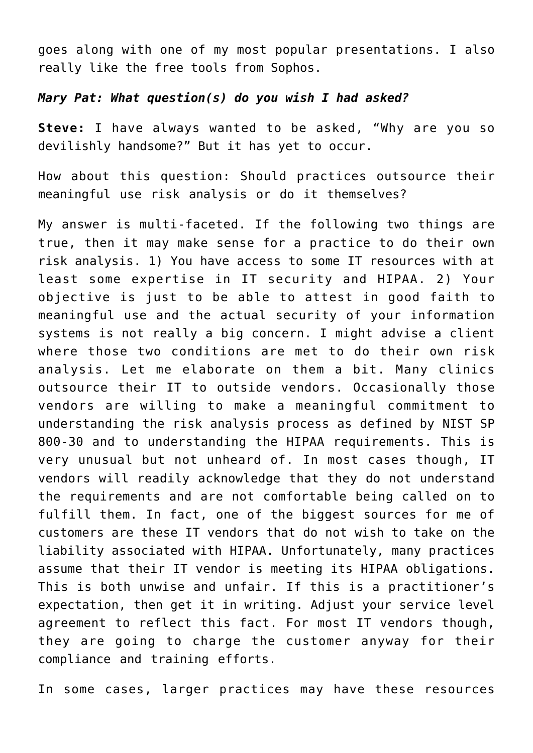goes along with one of my most popular presentations. I also really like the free tools from Sophos.

#### *Mary Pat: What question(s) do you wish I had asked?*

**Steve:** I have always wanted to be asked, "Why are you so devilishly handsome?" But it has yet to occur.

How about this question: Should practices outsource their meaningful use risk analysis or do it themselves?

My answer is multi-faceted. If the following two things are true, then it may make sense for a practice to do their own risk analysis. 1) You have access to some IT resources with at least some expertise in IT security and HIPAA. 2) Your objective is just to be able to attest in good faith to meaningful use and the actual security of your information systems is not really a big concern. I might advise a client where those two conditions are met to do their own risk analysis. Let me elaborate on them a bit. Many clinics outsource their IT to outside vendors. Occasionally those vendors are willing to make a meaningful commitment to understanding the risk analysis process as defined by NIST SP 800-30 and to understanding the HIPAA requirements. This is very unusual but not unheard of. In most cases though, IT vendors will readily acknowledge that they do not understand the requirements and are not comfortable being called on to fulfill them. In fact, one of the biggest sources for me of customers are these IT vendors that do not wish to take on the liability associated with HIPAA. Unfortunately, many practices assume that their IT vendor is meeting its HIPAA obligations. This is both unwise and unfair. If this is a practitioner's expectation, then get it in writing. Adjust your service level agreement to reflect this fact. For most IT vendors though, they are going to charge the customer anyway for their compliance and training efforts.

In some cases, larger practices may have these resources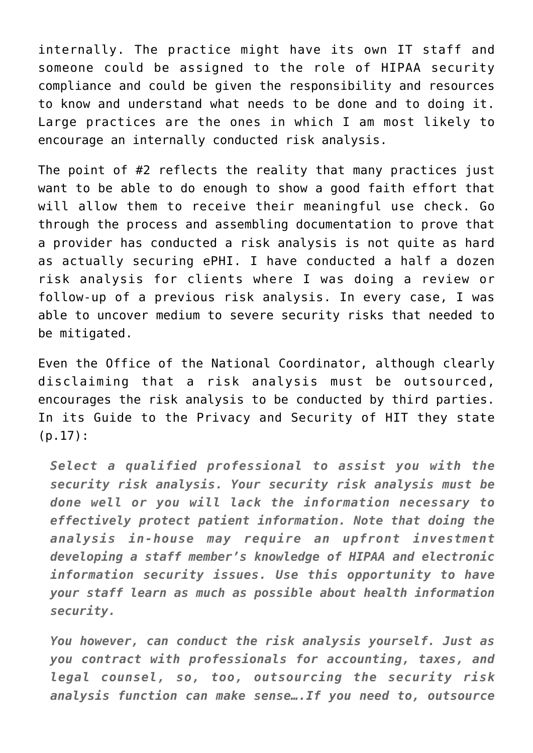internally. The practice might have its own IT staff and someone could be assigned to the role of HIPAA security compliance and could be given the responsibility and resources to know and understand what needs to be done and to doing it. Large practices are the ones in which I am most likely to encourage an internally conducted risk analysis.

The point of #2 reflects the reality that many practices just want to be able to do enough to show a good faith effort that will allow them to receive their meaningful use check. Go through the process and assembling documentation to prove that a provider has conducted a risk analysis is not quite as hard as actually securing ePHI. I have conducted a half a dozen risk analysis for clients where I was doing a review or follow-up of a previous risk analysis. In every case, I was able to uncover medium to severe security risks that needed to be mitigated.

Even the Office of the National Coordinator, although clearly disclaiming that a risk analysis must be outsourced, encourages the risk analysis to be conducted by third parties. In its Guide to the Privacy and Security of HIT they state (p.17):

*Select a qualified professional to assist you with the security risk analysis. Your security risk analysis must be done well or you will lack the information necessary to effectively protect patient information. Note that doing the analysis in-house may require an upfront investment developing a staff member's knowledge of HIPAA and electronic information security issues. Use this opportunity to have your staff learn as much as possible about health information security.*

*You however, can conduct the risk analysis yourself. Just as you contract with professionals for accounting, taxes, and legal counsel, so, too, outsourcing the security risk analysis function can make sense….If you need to, outsource*